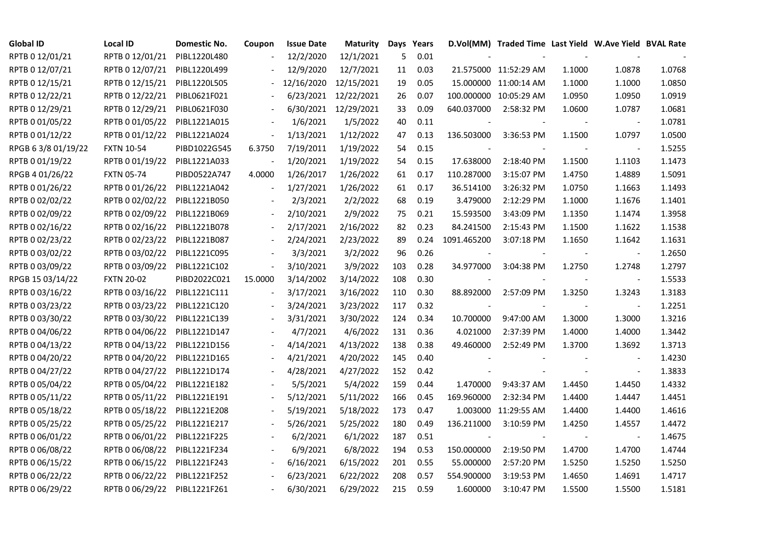| <b>Global ID</b>   | Local ID                     | Domestic No. | Coupon                   | <b>Issue Date</b> | <b>Maturity</b> |     | Days Years |             | D.Vol(MM) Traded Time Last Yield W.Ave Yield BVAL Rate |        |                          |        |
|--------------------|------------------------------|--------------|--------------------------|-------------------|-----------------|-----|------------|-------------|--------------------------------------------------------|--------|--------------------------|--------|
| RPTB 0 12/01/21    | RPTB 0 12/01/21              | PIBL1220L480 |                          | 12/2/2020         | 12/1/2021       | 5   | 0.01       |             |                                                        |        |                          |        |
| RPTB 0 12/07/21    | RPTB 0 12/07/21              | PIBL1220L499 |                          | 12/9/2020         | 12/7/2021       | 11  | 0.03       |             | 21.575000 11:52:29 AM                                  | 1.1000 | 1.0878                   | 1.0768 |
| RPTB 0 12/15/21    | RPTB 0 12/15/21              | PIBL1220L505 |                          | 12/16/2020        | 12/15/2021      | 19  | 0.05       |             | 15.000000 11:00:14 AM                                  | 1.1000 | 1.1000                   | 1.0850 |
| RPTB 0 12/22/21    | RPTB 0 12/22/21              | PIBL0621F021 |                          | 6/23/2021         | 12/22/2021      | 26  | 0.07       |             | 100.000000 10:05:29 AM                                 | 1.0950 | 1.0950                   | 1.0919 |
| RPTB 0 12/29/21    | RPTB 0 12/29/21              | PIBL0621F030 |                          | 6/30/2021         | 12/29/2021      | 33  | 0.09       | 640.037000  | 2:58:32 PM                                             | 1.0600 | 1.0787                   | 1.0681 |
| RPTB 0 01/05/22    | RPTB 0 01/05/22              | PIBL1221A015 |                          | 1/6/2021          | 1/5/2022        | 40  | 0.11       |             |                                                        |        | $\overline{\phantom{a}}$ | 1.0781 |
| RPTB 0 01/12/22    | RPTB 0 01/12/22              | PIBL1221A024 | $\blacksquare$           | 1/13/2021         | 1/12/2022       | 47  | 0.13       | 136.503000  | 3:36:53 PM                                             | 1.1500 | 1.0797                   | 1.0500 |
| RPGB 63/8 01/19/22 | <b>FXTN 10-54</b>            | PIBD1022G545 | 6.3750                   | 7/19/2011         | 1/19/2022       | 54  | 0.15       |             |                                                        |        | $\overline{\phantom{a}}$ | 1.5255 |
| RPTB 0 01/19/22    | RPTB 0 01/19/22              | PIBL1221A033 |                          | 1/20/2021         | 1/19/2022       | 54  | 0.15       | 17.638000   | 2:18:40 PM                                             | 1.1500 | 1.1103                   | 1.1473 |
| RPGB 4 01/26/22    | <b>FXTN 05-74</b>            | PIBD0522A747 | 4.0000                   | 1/26/2017         | 1/26/2022       | 61  | 0.17       | 110.287000  | 3:15:07 PM                                             | 1.4750 | 1.4889                   | 1.5091 |
| RPTB 0 01/26/22    | RPTB 0 01/26/22              | PIBL1221A042 | $\overline{\phantom{a}}$ | 1/27/2021         | 1/26/2022       | 61  | 0.17       | 36.514100   | 3:26:32 PM                                             | 1.0750 | 1.1663                   | 1.1493 |
| RPTB 0 02/02/22    | RPTB 0 02/02/22              | PIBL1221B050 |                          | 2/3/2021          | 2/2/2022        | 68  | 0.19       | 3.479000    | 2:12:29 PM                                             | 1.1000 | 1.1676                   | 1.1401 |
| RPTB 0 02/09/22    | RPTB 0 02/09/22              | PIBL1221B069 |                          | 2/10/2021         | 2/9/2022        | 75  | 0.21       | 15.593500   | 3:43:09 PM                                             | 1.1350 | 1.1474                   | 1.3958 |
| RPTB 0 02/16/22    | RPTB 0 02/16/22              | PIBL1221B078 |                          | 2/17/2021         | 2/16/2022       | 82  | 0.23       | 84.241500   | 2:15:43 PM                                             | 1.1500 | 1.1622                   | 1.1538 |
| RPTB 0 02/23/22    | RPTB 0 02/23/22              | PIBL1221B087 |                          | 2/24/2021         | 2/23/2022       | 89  | 0.24       | 1091.465200 | 3:07:18 PM                                             | 1.1650 | 1.1642                   | 1.1631 |
| RPTB 0 03/02/22    | RPTB 0 03/02/22              | PIBL1221C095 |                          | 3/3/2021          | 3/2/2022        | 96  | 0.26       |             |                                                        |        |                          | 1.2650 |
| RPTB 0 03/09/22    | RPTB 0 03/09/22              | PIBL1221C102 |                          | 3/10/2021         | 3/9/2022        | 103 | 0.28       | 34.977000   | 3:04:38 PM                                             | 1.2750 | 1.2748                   | 1.2797 |
| RPGB 15 03/14/22   | <b>FXTN 20-02</b>            | PIBD2022C021 | 15.0000                  | 3/14/2002         | 3/14/2022       | 108 | 0.30       |             |                                                        |        | $\overline{\phantom{a}}$ | 1.5533 |
| RPTB 0 03/16/22    | RPTB 0 03/16/22              | PIBL1221C111 |                          | 3/17/2021         | 3/16/2022       | 110 | 0.30       | 88.892000   | 2:57:09 PM                                             | 1.3250 | 1.3243                   | 1.3183 |
| RPTB 0 03/23/22    | RPTB 0 03/23/22              | PIBL1221C120 |                          | 3/24/2021         | 3/23/2022       | 117 | 0.32       |             |                                                        |        | $\blacksquare$           | 1.2251 |
| RPTB 0 03/30/22    | RPTB 0 03/30/22              | PIBL1221C139 |                          | 3/31/2021         | 3/30/2022       | 124 | 0.34       | 10.700000   | 9:47:00 AM                                             | 1.3000 | 1.3000                   | 1.3216 |
| RPTB 0 04/06/22    | RPTB 0 04/06/22              | PIBL1221D147 |                          | 4/7/2021          | 4/6/2022        | 131 | 0.36       | 4.021000    | 2:37:39 PM                                             | 1.4000 | 1.4000                   | 1.3442 |
| RPTB 0 04/13/22    | RPTB 0 04/13/22              | PIBL1221D156 |                          | 4/14/2021         | 4/13/2022       | 138 | 0.38       | 49.460000   | 2:52:49 PM                                             | 1.3700 | 1.3692                   | 1.3713 |
| RPTB 0 04/20/22    | RPTB 0 04/20/22              | PIBL1221D165 |                          | 4/21/2021         | 4/20/2022       | 145 | 0.40       |             |                                                        |        |                          | 1.4230 |
| RPTB 0 04/27/22    | RPTB 0 04/27/22              | PIBL1221D174 |                          | 4/28/2021         | 4/27/2022       | 152 | 0.42       |             |                                                        |        | $\blacksquare$           | 1.3833 |
| RPTB 0 05/04/22    | RPTB 0 05/04/22              | PIBL1221E182 |                          | 5/5/2021          | 5/4/2022        | 159 | 0.44       | 1.470000    | 9:43:37 AM                                             | 1.4450 | 1.4450                   | 1.4332 |
| RPTB 0 05/11/22    | RPTB 0 05/11/22              | PIBL1221E191 |                          | 5/12/2021         | 5/11/2022       | 166 | 0.45       | 169.960000  | 2:32:34 PM                                             | 1.4400 | 1.4447                   | 1.4451 |
| RPTB 0 05/18/22    | RPTB 0 05/18/22              | PIBL1221E208 |                          | 5/19/2021         | 5/18/2022       | 173 | 0.47       | 1.003000    | 11:29:55 AM                                            | 1.4400 | 1.4400                   | 1.4616 |
| RPTB 0 05/25/22    | RPTB 0 05/25/22              | PIBL1221E217 |                          | 5/26/2021         | 5/25/2022       | 180 | 0.49       | 136.211000  | 3:10:59 PM                                             | 1.4250 | 1.4557                   | 1.4472 |
| RPTB 0 06/01/22    | RPTB 0 06/01/22              | PIBL1221F225 |                          | 6/2/2021          | 6/1/2022        | 187 | 0.51       |             |                                                        |        |                          | 1.4675 |
| RPTB 0 06/08/22    | RPTB 0 06/08/22              | PIBL1221F234 |                          | 6/9/2021          | 6/8/2022        | 194 | 0.53       | 150.000000  | 2:19:50 PM                                             | 1.4700 | 1.4700                   | 1.4744 |
| RPTB 0 06/15/22    | RPTB 0 06/15/22              | PIBL1221F243 |                          | 6/16/2021         | 6/15/2022       | 201 | 0.55       | 55.000000   | 2:57:20 PM                                             | 1.5250 | 1.5250                   | 1.5250 |
| RPTB 0 06/22/22    | RPTB 0 06/22/22              | PIBL1221F252 |                          | 6/23/2021         | 6/22/2022       | 208 | 0.57       | 554.900000  | 3:19:53 PM                                             | 1.4650 | 1.4691                   | 1.4717 |
| RPTB 0 06/29/22    | RPTB 0 06/29/22 PIBL1221F261 |              |                          | 6/30/2021         | 6/29/2022       | 215 | 0.59       | 1.600000    | 3:10:47 PM                                             | 1.5500 | 1.5500                   | 1.5181 |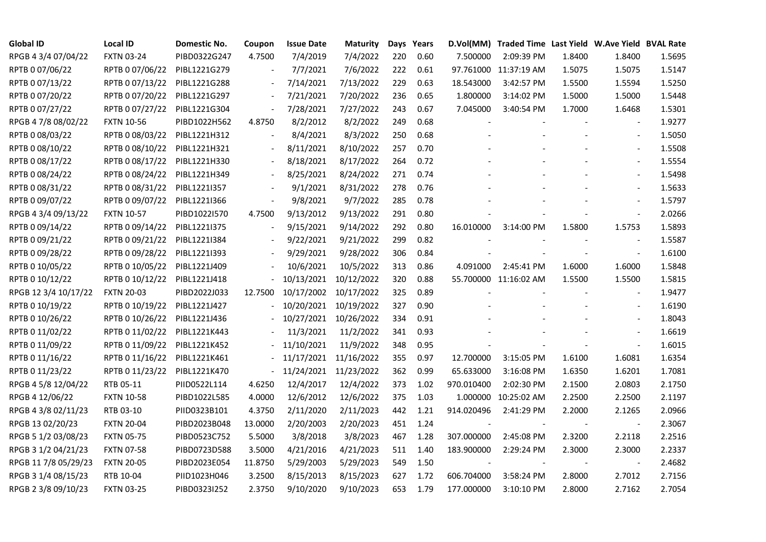| <b>Global ID</b>     | <b>Local ID</b>   | Domestic No. | Coupon                       | <b>Issue Date</b> | <b>Maturity</b> |     | Days Years |            | D.Vol(MM) Traded Time Last Yield W.Ave Yield BVAL Rate |        |                          |        |
|----------------------|-------------------|--------------|------------------------------|-------------------|-----------------|-----|------------|------------|--------------------------------------------------------|--------|--------------------------|--------|
| RPGB 4 3/4 07/04/22  | <b>FXTN 03-24</b> | PIBD0322G247 | 4.7500                       | 7/4/2019          | 7/4/2022        | 220 | 0.60       | 7.500000   | 2:09:39 PM                                             | 1.8400 | 1.8400                   | 1.5695 |
| RPTB 0 07/06/22      | RPTB 0 07/06/22   | PIBL1221G279 |                              | 7/7/2021          | 7/6/2022        | 222 | 0.61       |            | 97.761000 11:37:19 AM                                  | 1.5075 | 1.5075                   | 1.5147 |
| RPTB 0 07/13/22      | RPTB 0 07/13/22   | PIBL1221G288 | $\overline{\phantom{a}}$     | 7/14/2021         | 7/13/2022       | 229 | 0.63       | 18.543000  | 3:42:57 PM                                             | 1.5500 | 1.5594                   | 1.5250 |
| RPTB 0 07/20/22      | RPTB 0 07/20/22   | PIBL1221G297 | $\blacksquare$               | 7/21/2021         | 7/20/2022       | 236 | 0.65       | 1.800000   | 3:14:02 PM                                             | 1.5000 | 1.5000                   | 1.5448 |
| RPTB 0 07/27/22      | RPTB 0 07/27/22   | PIBL1221G304 | $\blacksquare$               | 7/28/2021         | 7/27/2022       | 243 | 0.67       | 7.045000   | 3:40:54 PM                                             | 1.7000 | 1.6468                   | 1.5301 |
| RPGB 4 7/8 08/02/22  | <b>FXTN 10-56</b> | PIBD1022H562 | 4.8750                       | 8/2/2012          | 8/2/2022        | 249 | 0.68       |            |                                                        |        |                          | 1.9277 |
| RPTB 0 08/03/22      | RPTB 0 08/03/22   | PIBL1221H312 |                              | 8/4/2021          | 8/3/2022        | 250 | 0.68       |            |                                                        |        | $\blacksquare$           | 1.5050 |
| RPTB 0 08/10/22      | RPTB 0 08/10/22   | PIBL1221H321 | $\overline{\phantom{a}}$     | 8/11/2021         | 8/10/2022       | 257 | 0.70       |            |                                                        |        | $\overline{\phantom{a}}$ | 1.5508 |
| RPTB 0 08/17/22      | RPTB 0 08/17/22   | PIBL1221H330 |                              | 8/18/2021         | 8/17/2022       | 264 | 0.72       |            |                                                        |        |                          | 1.5554 |
| RPTB 0 08/24/22      | RPTB 0 08/24/22   | PIBL1221H349 | $\qquad \qquad \blacksquare$ | 8/25/2021         | 8/24/2022       | 271 | 0.74       |            |                                                        |        | $\overline{\phantom{a}}$ | 1.5498 |
| RPTB 0 08/31/22      | RPTB 0 08/31/22   | PIBL1221I357 | $\overline{\phantom{a}}$     | 9/1/2021          | 8/31/2022       | 278 | 0.76       |            |                                                        |        | $\blacksquare$           | 1.5633 |
| RPTB 0 09/07/22      | RPTB 0 09/07/22   | PIBL1221I366 | $\blacksquare$               | 9/8/2021          | 9/7/2022        | 285 | 0.78       |            |                                                        |        |                          | 1.5797 |
| RPGB 4 3/4 09/13/22  | <b>FXTN 10-57</b> | PIBD1022I570 | 4.7500                       | 9/13/2012         | 9/13/2022       | 291 | 0.80       |            |                                                        |        | $\blacksquare$           | 2.0266 |
| RPTB 0 09/14/22      | RPTB 0 09/14/22   | PIBL1221I375 | $\overline{\phantom{a}}$     | 9/15/2021         | 9/14/2022       | 292 | 0.80       | 16.010000  | 3:14:00 PM                                             | 1.5800 | 1.5753                   | 1.5893 |
| RPTB 0 09/21/22      | RPTB 0 09/21/22   | PIBL1221I384 |                              | 9/22/2021         | 9/21/2022       | 299 | 0.82       |            |                                                        |        | $\overline{\phantom{a}}$ | 1.5587 |
| RPTB 0 09/28/22      | RPTB 0 09/28/22   | PIBL1221I393 |                              | 9/29/2021         | 9/28/2022       | 306 | 0.84       |            |                                                        |        |                          | 1.6100 |
| RPTB 0 10/05/22      | RPTB 0 10/05/22   | PIBL1221J409 |                              | 10/6/2021         | 10/5/2022       | 313 | 0.86       | 4.091000   | 2:45:41 PM                                             | 1.6000 | 1.6000                   | 1.5848 |
| RPTB 0 10/12/22      | RPTB 0 10/12/22   | PIBL1221J418 |                              | 10/13/2021        | 10/12/2022      | 320 | 0.88       |            | 55.700000 11:16:02 AM                                  | 1.5500 | 1.5500                   | 1.5815 |
| RPGB 12 3/4 10/17/22 | <b>FXTN 20-03</b> | PIBD2022J033 | 12.7500                      | 10/17/2002        | 10/17/2022      | 325 | 0.89       |            |                                                        |        | $\blacksquare$           | 1.9477 |
| RPTB 0 10/19/22      | RPTB 0 10/19/22   | PIBL1221J427 |                              | 10/20/2021        | 10/19/2022      | 327 | 0.90       |            |                                                        |        | $\frac{1}{2}$            | 1.6190 |
| RPTB 0 10/26/22      | RPTB 0 10/26/22   | PIBL1221J436 |                              | 10/27/2021        | 10/26/2022      | 334 | 0.91       |            |                                                        |        | $\frac{1}{2}$            | 1.8043 |
| RPTB 0 11/02/22      | RPTB 0 11/02/22   | PIBL1221K443 |                              | 11/3/2021         | 11/2/2022       | 341 | 0.93       |            |                                                        |        | $\blacksquare$           | 1.6619 |
| RPTB 0 11/09/22      | RPTB 0 11/09/22   | PIBL1221K452 |                              | 11/10/2021        | 11/9/2022       | 348 | 0.95       |            |                                                        |        |                          | 1.6015 |
| RPTB 0 11/16/22      | RPTB 0 11/16/22   | PIBL1221K461 |                              | 11/17/2021        | 11/16/2022      | 355 | 0.97       | 12.700000  | 3:15:05 PM                                             | 1.6100 | 1.6081                   | 1.6354 |
| RPTB 0 11/23/22      | RPTB 0 11/23/22   | PIBL1221K470 | $\frac{1}{2}$                | 11/24/2021        | 11/23/2022      | 362 | 0.99       | 65.633000  | 3:16:08 PM                                             | 1.6350 | 1.6201                   | 1.7081 |
| RPGB 4 5/8 12/04/22  | RTB 05-11         | PIID0522L114 | 4.6250                       | 12/4/2017         | 12/4/2022       | 373 | 1.02       | 970.010400 | 2:02:30 PM                                             | 2.1500 | 2.0803                   | 2.1750 |
| RPGB 4 12/06/22      | <b>FXTN 10-58</b> | PIBD1022L585 | 4.0000                       | 12/6/2012         | 12/6/2022       | 375 | 1.03       |            | 1.000000 10:25:02 AM                                   | 2.2500 | 2.2500                   | 2.1197 |
| RPGB 4 3/8 02/11/23  | RTB 03-10         | PIID0323B101 | 4.3750                       | 2/11/2020         | 2/11/2023       | 442 | 1.21       | 914.020496 | 2:41:29 PM                                             | 2.2000 | 2.1265                   | 2.0966 |
| RPGB 13 02/20/23     | <b>FXTN 20-04</b> | PIBD2023B048 | 13.0000                      | 2/20/2003         | 2/20/2023       | 451 | 1.24       |            |                                                        |        | $\overline{\phantom{a}}$ | 2.3067 |
| RPGB 5 1/2 03/08/23  | <b>FXTN 05-75</b> | PIBD0523C752 | 5.5000                       | 3/8/2018          | 3/8/2023        | 467 | 1.28       | 307.000000 | 2:45:08 PM                                             | 2.3200 | 2.2118                   | 2.2516 |
| RPGB 3 1/2 04/21/23  | <b>FXTN 07-58</b> | PIBD0723D588 | 3.5000                       | 4/21/2016         | 4/21/2023       | 511 | 1.40       | 183.900000 | 2:29:24 PM                                             | 2.3000 | 2.3000                   | 2.2337 |
| RPGB 11 7/8 05/29/23 | <b>FXTN 20-05</b> | PIBD2023E054 | 11.8750                      | 5/29/2003         | 5/29/2023       | 549 | 1.50       |            |                                                        |        |                          | 2.4682 |
| RPGB 3 1/4 08/15/23  | RTB 10-04         | PIID1023H046 | 3.2500                       | 8/15/2013         | 8/15/2023       | 627 | 1.72       | 606.704000 | 3:58:24 PM                                             | 2.8000 | 2.7012                   | 2.7156 |
| RPGB 2 3/8 09/10/23  | <b>FXTN 03-25</b> | PIBD0323I252 | 2.3750                       | 9/10/2020         | 9/10/2023       | 653 | 1.79       | 177.000000 | 3:10:10 PM                                             | 2.8000 | 2.7162                   | 2.7054 |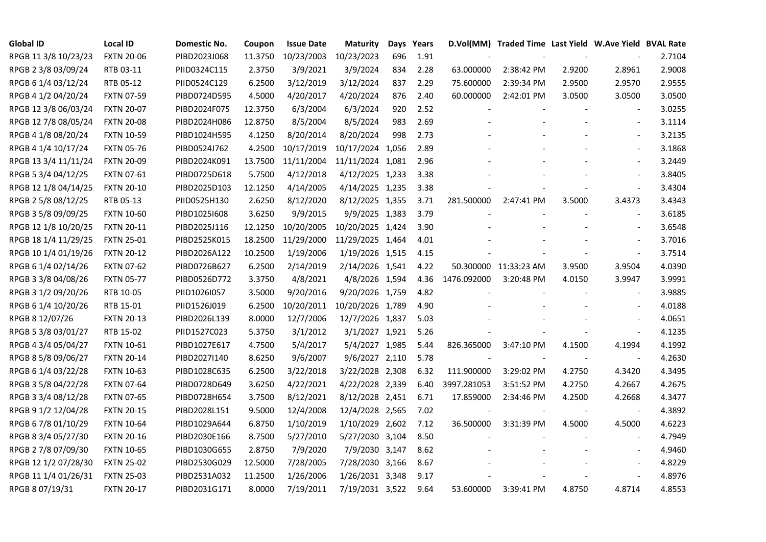| <b>Global ID</b>     | <b>Local ID</b>   | Domestic No. | Coupon  | <b>Issue Date</b> | <b>Maturity</b>  |     | Days Years |             | D.Vol(MM) Traded Time Last Yield W.Ave Yield BVAL Rate |        |                          |        |
|----------------------|-------------------|--------------|---------|-------------------|------------------|-----|------------|-------------|--------------------------------------------------------|--------|--------------------------|--------|
| RPGB 11 3/8 10/23/23 | <b>FXTN 20-06</b> | PIBD2023J068 | 11.3750 | 10/23/2003        | 10/23/2023       | 696 | 1.91       |             |                                                        |        |                          | 2.7104 |
| RPGB 2 3/8 03/09/24  | RTB 03-11         | PIID0324C115 | 2.3750  | 3/9/2021          | 3/9/2024         | 834 | 2.28       | 63.000000   | 2:38:42 PM                                             | 2.9200 | 2.8961                   | 2.9008 |
| RPGB 6 1/4 03/12/24  | RTB 05-12         | PIID0524C129 | 6.2500  | 3/12/2019         | 3/12/2024        | 837 | 2.29       | 75.600000   | 2:39:34 PM                                             | 2.9500 | 2.9570                   | 2.9555 |
| RPGB 4 1/2 04/20/24  | <b>FXTN 07-59</b> | PIBD0724D595 | 4.5000  | 4/20/2017         | 4/20/2024        | 876 | 2.40       | 60.000000   | 2:42:01 PM                                             | 3.0500 | 3.0500                   | 3.0500 |
| RPGB 12 3/8 06/03/24 | <b>FXTN 20-07</b> | PIBD2024F075 | 12.3750 | 6/3/2004          | 6/3/2024         | 920 | 2.52       |             |                                                        |        | $\blacksquare$           | 3.0255 |
| RPGB 12 7/8 08/05/24 | <b>FXTN 20-08</b> | PIBD2024H086 | 12.8750 | 8/5/2004          | 8/5/2024         | 983 | 2.69       |             |                                                        |        | $\blacksquare$           | 3.1114 |
| RPGB 4 1/8 08/20/24  | <b>FXTN 10-59</b> | PIBD1024H595 | 4.1250  | 8/20/2014         | 8/20/2024        | 998 | 2.73       |             |                                                        |        | $\blacksquare$           | 3.2135 |
| RPGB 4 1/4 10/17/24  | <b>FXTN 05-76</b> | PIBD0524J762 | 4.2500  | 10/17/2019        | 10/17/2024 1,056 |     | 2.89       |             |                                                        |        |                          | 3.1868 |
| RPGB 13 3/4 11/11/24 | <b>FXTN 20-09</b> | PIBD2024K091 | 13.7500 | 11/11/2004        | 11/11/2024 1,081 |     | 2.96       |             |                                                        |        |                          | 3.2449 |
| RPGB 5 3/4 04/12/25  | <b>FXTN 07-61</b> | PIBD0725D618 | 5.7500  | 4/12/2018         | 4/12/2025 1,233  |     | 3.38       |             |                                                        |        | $\overline{\phantom{a}}$ | 3.8405 |
| RPGB 12 1/8 04/14/25 | <b>FXTN 20-10</b> | PIBD2025D103 | 12.1250 | 4/14/2005         | 4/14/2025 1,235  |     | 3.38       |             |                                                        |        | $\blacksquare$           | 3.4304 |
| RPGB 2 5/8 08/12/25  | RTB 05-13         | PIID0525H130 | 2.6250  | 8/12/2020         | 8/12/2025 1,355  |     | 3.71       | 281.500000  | 2:47:41 PM                                             | 3.5000 | 3.4373                   | 3.4343 |
| RPGB 3 5/8 09/09/25  | <b>FXTN 10-60</b> | PIBD10251608 | 3.6250  | 9/9/2015          | 9/9/2025 1,383   |     | 3.79       |             |                                                        |        | $\blacksquare$           | 3.6185 |
| RPGB 12 1/8 10/20/25 | <b>FXTN 20-11</b> | PIBD2025J116 | 12.1250 | 10/20/2005        | 10/20/2025 1,424 |     | 3.90       |             |                                                        |        | $\sim$                   | 3.6548 |
| RPGB 18 1/4 11/29/25 | <b>FXTN 25-01</b> | PIBD2525K015 | 18.2500 | 11/29/2000        | 11/29/2025 1,464 |     | 4.01       |             |                                                        |        | $\sim$                   | 3.7016 |
| RPGB 10 1/4 01/19/26 | <b>FXTN 20-12</b> | PIBD2026A122 | 10.2500 | 1/19/2006         | 1/19/2026 1,515  |     | 4.15       |             |                                                        |        | $\overline{a}$           | 3.7514 |
| RPGB 6 1/4 02/14/26  | <b>FXTN 07-62</b> | PIBD0726B627 | 6.2500  | 2/14/2019         | 2/14/2026 1,541  |     | 4.22       |             | 50.300000 11:33:23 AM                                  | 3.9500 | 3.9504                   | 4.0390 |
| RPGB 3 3/8 04/08/26  | <b>FXTN 05-77</b> | PIBD0526D772 | 3.3750  | 4/8/2021          | 4/8/2026 1,594   |     | 4.36       | 1476.092000 | 3:20:48 PM                                             | 4.0150 | 3.9947                   | 3.9991 |
| RPGB 3 1/2 09/20/26  | RTB 10-05         | PIID1026I057 | 3.5000  | 9/20/2016         | 9/20/2026 1,759  |     | 4.82       |             |                                                        |        | $\overline{\phantom{a}}$ | 3.9885 |
| RPGB 6 1/4 10/20/26  | RTB 15-01         | PIID1526J019 | 6.2500  | 10/20/2011        | 10/20/2026 1,789 |     | 4.90       |             |                                                        |        | $\blacksquare$           | 4.0188 |
| RPGB 8 12/07/26      | <b>FXTN 20-13</b> | PIBD2026L139 | 8.0000  | 12/7/2006         | 12/7/2026 1,837  |     | 5.03       |             |                                                        |        | $\blacksquare$           | 4.0651 |
| RPGB 5 3/8 03/01/27  | RTB 15-02         | PIID1527C023 | 5.3750  | 3/1/2012          | 3/1/2027 1,921   |     | 5.26       |             |                                                        |        | $\sim$                   | 4.1235 |
| RPGB 4 3/4 05/04/27  | <b>FXTN 10-61</b> | PIBD1027E617 | 4.7500  | 5/4/2017          | 5/4/2027 1,985   |     | 5.44       | 826.365000  | 3:47:10 PM                                             | 4.1500 | 4.1994                   | 4.1992 |
| RPGB 8 5/8 09/06/27  | <b>FXTN 20-14</b> | PIBD2027I140 | 8.6250  | 9/6/2007          | 9/6/2027 2,110   |     | 5.78       |             |                                                        |        | $\sim$                   | 4.2630 |
| RPGB 6 1/4 03/22/28  | <b>FXTN 10-63</b> | PIBD1028C635 | 6.2500  | 3/22/2018         | 3/22/2028 2,308  |     | 6.32       | 111.900000  | 3:29:02 PM                                             | 4.2750 | 4.3420                   | 4.3495 |
| RPGB 3 5/8 04/22/28  | <b>FXTN 07-64</b> | PIBD0728D649 | 3.6250  | 4/22/2021         | 4/22/2028 2,339  |     | 6.40       | 3997.281053 | 3:51:52 PM                                             | 4.2750 | 4.2667                   | 4.2675 |
| RPGB 3 3/4 08/12/28  | <b>FXTN 07-65</b> | PIBD0728H654 | 3.7500  | 8/12/2021         | 8/12/2028 2,451  |     | 6.71       | 17.859000   | 2:34:46 PM                                             | 4.2500 | 4.2668                   | 4.3477 |
| RPGB 9 1/2 12/04/28  | <b>FXTN 20-15</b> | PIBD2028L151 | 9.5000  | 12/4/2008         | 12/4/2028 2,565  |     | 7.02       |             |                                                        |        | $\blacksquare$           | 4.3892 |
| RPGB 6 7/8 01/10/29  | <b>FXTN 10-64</b> | PIBD1029A644 | 6.8750  | 1/10/2019         | 1/10/2029 2,602  |     | 7.12       | 36.500000   | 3:31:39 PM                                             | 4.5000 | 4.5000                   | 4.6223 |
| RPGB 8 3/4 05/27/30  | <b>FXTN 20-16</b> | PIBD2030E166 | 8.7500  | 5/27/2010         | 5/27/2030 3,104  |     | 8.50       |             |                                                        |        |                          | 4.7949 |
| RPGB 2 7/8 07/09/30  | <b>FXTN 10-65</b> | PIBD1030G655 | 2.8750  | 7/9/2020          | 7/9/2030 3,147   |     | 8.62       |             |                                                        |        | $\blacksquare$           | 4.9460 |
| RPGB 12 1/2 07/28/30 | <b>FXTN 25-02</b> | PIBD2530G029 | 12.5000 | 7/28/2005         | 7/28/2030 3,166  |     | 8.67       |             |                                                        |        | $\blacksquare$           | 4.8229 |
| RPGB 11 1/4 01/26/31 | <b>FXTN 25-03</b> | PIBD2531A032 | 11.2500 | 1/26/2006         | 1/26/2031 3,348  |     | 9.17       |             |                                                        |        | $\sim$                   | 4.8976 |
| RPGB 8 07/19/31      | <b>FXTN 20-17</b> | PIBD2031G171 | 8.0000  | 7/19/2011         | 7/19/2031 3,522  |     | 9.64       | 53.600000   | 3:39:41 PM                                             | 4.8750 | 4.8714                   | 4.8553 |